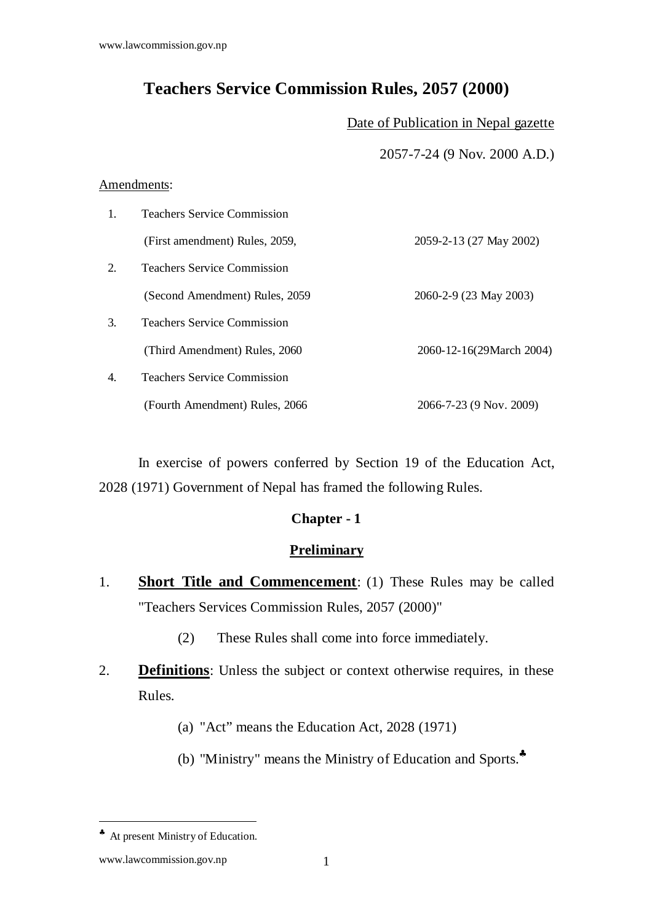# **Teachers Service Commission Rules, 2057 (2000)**

Date of Publication in Nepal gazette

2057-7-24 (9 Nov. 2000 A.D.)

#### Amendments:

| $\mathbf{1}$ .   | <b>Teachers Service Commission</b> |                          |
|------------------|------------------------------------|--------------------------|
|                  | (First amendment) Rules, 2059,     | 2059-2-13 (27 May 2002)  |
| 2.               | <b>Teachers Service Commission</b> |                          |
|                  | (Second Amendment) Rules, 2059     | 2060-2-9 (23 May 2003)   |
| 3.               | <b>Teachers Service Commission</b> |                          |
|                  | (Third Amendment) Rules, 2060      | 2060-12-16(29March 2004) |
| $\overline{4}$ . | <b>Teachers Service Commission</b> |                          |
|                  | (Fourth Amendment) Rules, 2066     | 2066-7-23 (9 Nov. 2009)  |

 In exercise of powers conferred by Section 19 of the Education Act, 2028 (1971) Government of Nepal has framed the following Rules.

## **Chapter - 1**

#### **Preliminary**

- 1. **Short Title and Commencement**: (1) These Rules may be called "Teachers Services Commission Rules, 2057 (2000)"
	- (2) These Rules shall come into force immediately.
- 2. **Definitions**: Unless the subject or context otherwise requires, in these Rules.
	- (a) "Act" means the Education Act, 2028 (1971)
	- (b) "Ministry" means the Ministry of Education and Sports.♣

<sup>♣</sup> At present Ministry of Education.

www.lawcommission.gov.np 1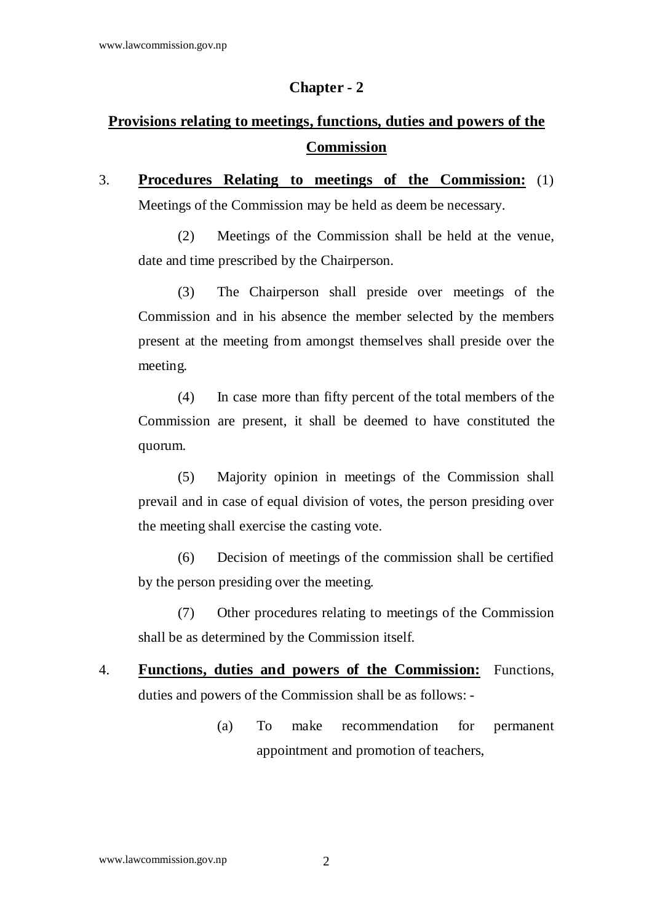#### **Chapter - 2**

# **Provisions relating to meetings, functions, duties and powers of the Commission**

3. **Procedures Relating to meetings of the Commission:** (1) Meetings of the Commission may be held as deem be necessary.

 (2) Meetings of the Commission shall be held at the venue, date and time prescribed by the Chairperson.

 (3) The Chairperson shall preside over meetings of the Commission and in his absence the member selected by the members present at the meeting from amongst themselves shall preside over the meeting.

 (4) In case more than fifty percent of the total members of the Commission are present, it shall be deemed to have constituted the quorum.

 (5) Majority opinion in meetings of the Commission shall prevail and in case of equal division of votes, the person presiding over the meeting shall exercise the casting vote.

 (6) Decision of meetings of the commission shall be certified by the person presiding over the meeting.

 (7) Other procedures relating to meetings of the Commission shall be as determined by the Commission itself.

- 4. **Functions, duties and powers of the Commission:** Functions, duties and powers of the Commission shall be as follows: -
	- (a) To make recommendation for permanent appointment and promotion of teachers,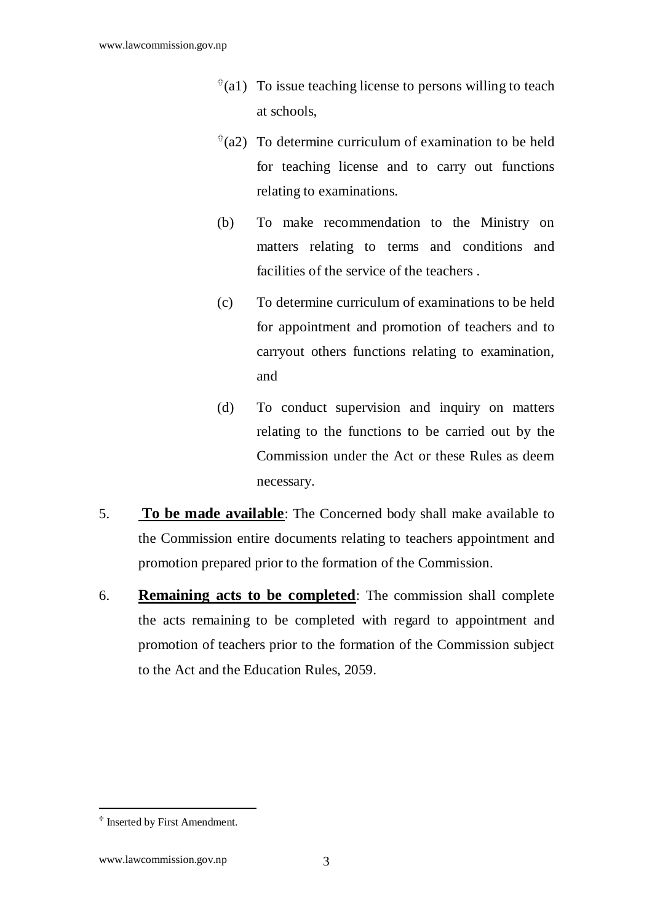- $*(a1)$  To issue teaching license to persons willing to teach at schools,
- $*(a2)$  To determine curriculum of examination to be held for teaching license and to carry out functions relating to examinations.
- (b) To make recommendation to the Ministry on matters relating to terms and conditions and facilities of the service of the teachers .
- (c) To determine curriculum of examinations to be held for appointment and promotion of teachers and to carryout others functions relating to examination, and
- (d) To conduct supervision and inquiry on matters relating to the functions to be carried out by the Commission under the Act or these Rules as deem necessary.
- 5. **To be made available**: The Concerned body shall make available to the Commission entire documents relating to teachers appointment and promotion prepared prior to the formation of the Commission.
- 6. **Remaining acts to be completed**: The commission shall complete the acts remaining to be completed with regard to appointment and promotion of teachers prior to the formation of the Commission subject to the Act and the Education Rules, 2059.

 $*$  Inserted by First Amendment.

www.lawcommission.gov.np 3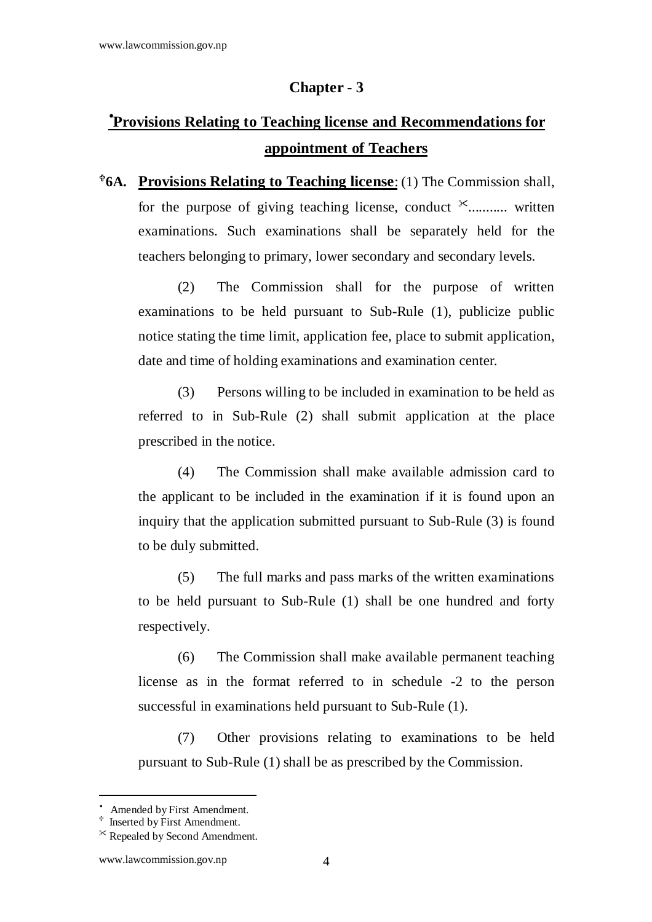#### **Chapter - 3**

# •**Provisions Relating to Teaching license and Recommendations for appointment of Teachers**

**6A. Provisions Relating to Teaching license**: (1) The Commission shall, for the purpose of giving teaching license, conduct  $*$ ........... written examinations. Such examinations shall be separately held for the teachers belonging to primary, lower secondary and secondary levels.

 (2) The Commission shall for the purpose of written examinations to be held pursuant to Sub-Rule (1), publicize public notice stating the time limit, application fee, place to submit application, date and time of holding examinations and examination center.

 (3) Persons willing to be included in examination to be held as referred to in Sub-Rule (2) shall submit application at the place prescribed in the notice.

 (4) The Commission shall make available admission card to the applicant to be included in the examination if it is found upon an inquiry that the application submitted pursuant to Sub-Rule (3) is found to be duly submitted.

 (5) The full marks and pass marks of the written examinations to be held pursuant to Sub-Rule (1) shall be one hundred and forty respectively.

 (6) The Commission shall make available permanent teaching license as in the format referred to in schedule -2 to the person successful in examinations held pursuant to Sub-Rule (1).

 (7) Other provisions relating to examinations to be held pursuant to Sub-Rule (1) shall be as prescribed by the Commission.

<sup>•</sup> Amended by First Amendment.

 $*$  Inserted by First Amendment.

<sup>-</sup> Repealed by Second Amendment.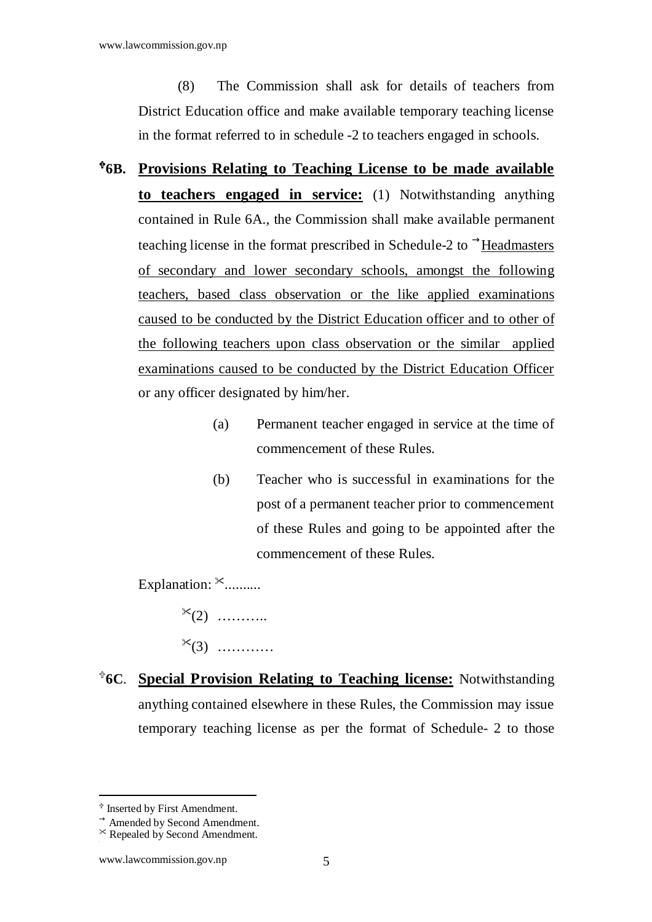(8) The Commission shall ask for details of teachers from District Education office and make available temporary teaching license in the format referred to in schedule -2 to teachers engaged in schools.

- **6B. Provisions Relating to Teaching License to be made available to teachers engaged in service:** (1) Notwithstanding anything contained in Rule 6A., the Commission shall make available permanent teaching license in the format prescribed in Schedule-2 to  $\rightarrow$ Headmasters of secondary and lower secondary schools, amongst the following teachers, based class observation or the like applied examinations caused to be conducted by the District Education officer and to other of the following teachers upon class observation or the similar applied examinations caused to be conducted by the District Education Officer or any officer designated by him/her.
	- (a) Permanent teacher engaged in service at the time of commencement of these Rules.
	- (b) Teacher who is successful in examinations for the post of a permanent teacher prior to commencement of these Rules and going to be appointed after the commencement of these Rules.

Explanation:  $*$ ..........

 $*(2)$  …………

- $*(3)$  …………
- **6C**. **Special Provision Relating to Teaching license:** Notwithstanding anything contained elsewhere in these Rules, the Commission may issue temporary teaching license as per the format of Schedule- 2 to those

 $*$  Inserted by First Amendment.

 $\rightarrow$  Amended by Second Amendment.

<sup>-</sup> Repealed by Second Amendment.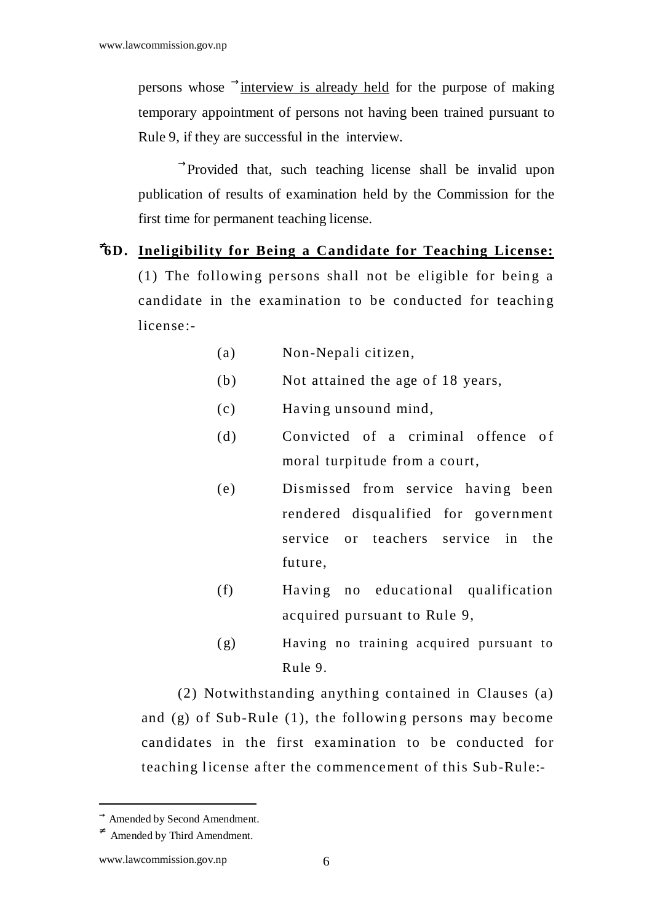persons whose  $\rightarrow$  interview is already held for the purpose of making temporary appointment of persons not having been trained pursuant to Rule 9, if they are successful in the interview.

 $\rightarrow$ Provided that, such teaching license shall be invalid upon publication of results of examination held by the Commission for the first time for permanent teaching license.

#### <sup>≠</sup>**6D. Ineligibility for Being a Candidate for Teaching License:**

(1) The following persons shall not be eligible for being a candidate in the examination to be conducted for teaching license:-

- (a) Non-Nepali cit izen,
- $(b)$  Not attained the age of 18 years,
- (c) Havin g unsound mind,
- (d) Convicted of a criminal offence of moral turpitude from a court,
- (e) Dismissed from service having been rendered disqualified for go vern ment service or teachers service in the future,
- (f) Having no educational qualification acquired pursuant to Rule 9,
- (g) Having no training acquired pursuant to Rule 9.

 $(2)$  Notwithstanding anything contained in Clauses  $(a)$ and  $(g)$  of Sub-Rule  $(1)$ , the following persons may become candidates in the first examination to be conducted for teaching license after the commencement of this Sub-Rule:-

 $\rightarrow$  Amended by Second Amendment.

<sup>≠</sup> Amended by Third Amendment.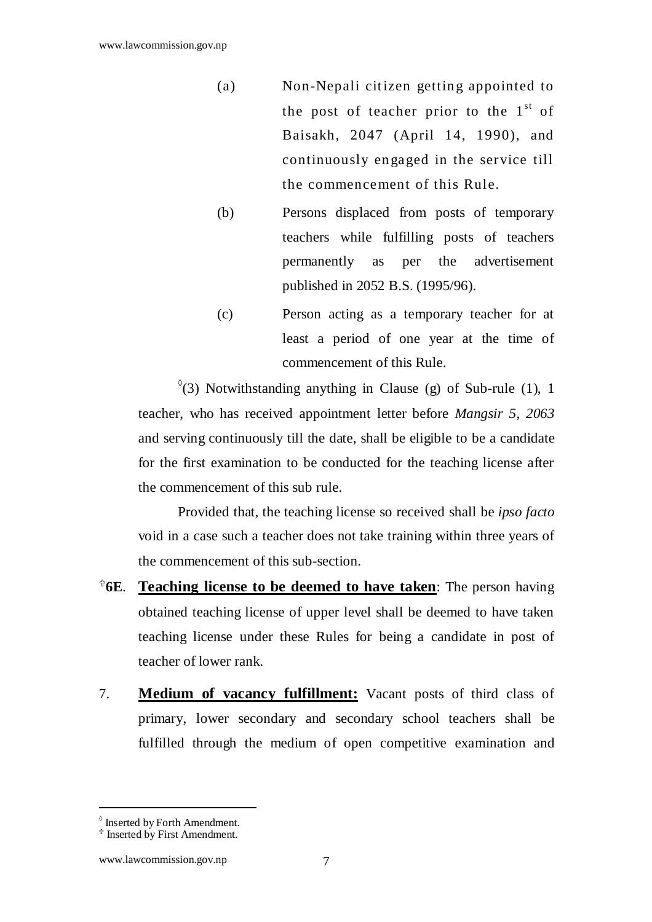- (a) Non-Nepali citizen getting appointed to the post of teacher prior to the  $1<sup>st</sup>$  of Baisakh, 2047 (April 14, 1990), and continuously en gaged in the service till the commencement of this Rule.
- (b) Persons displaced from posts of temporary teachers while fulfilling posts of teachers permanently as per the advertisement published in 2052 B.S. (1995/96).
- (c) Person acting as a temporary teacher for at least a period of one year at the time of commencement of this Rule.

 $\sqrt[6]{(3)}$  Notwithstanding anything in Clause (g) of Sub-rule (1), 1 teacher, who has received appointment letter before *Mangsir 5, 2063* and serving continuously till the date, shall be eligible to be a candidate for the first examination to be conducted for the teaching license after the commencement of this sub rule.

Provided that, the teaching license so received shall be *ipso facto* void in a case such a teacher does not take training within three years of the commencement of this sub-section.

- **6E**. **Teaching license to be deemed to have taken**: The person having obtained teaching license of upper level shall be deemed to have taken teaching license under these Rules for being a candidate in post of teacher of lower rank.
- 7. **Medium of vacancy fulfillment:** Vacant posts of third class of primary, lower secondary and secondary school teachers shall be fulfilled through the medium of open competitive examination and

<sup>◊</sup> Inserted by Forth Amendment.

 $*$  Inserted by First Amendment.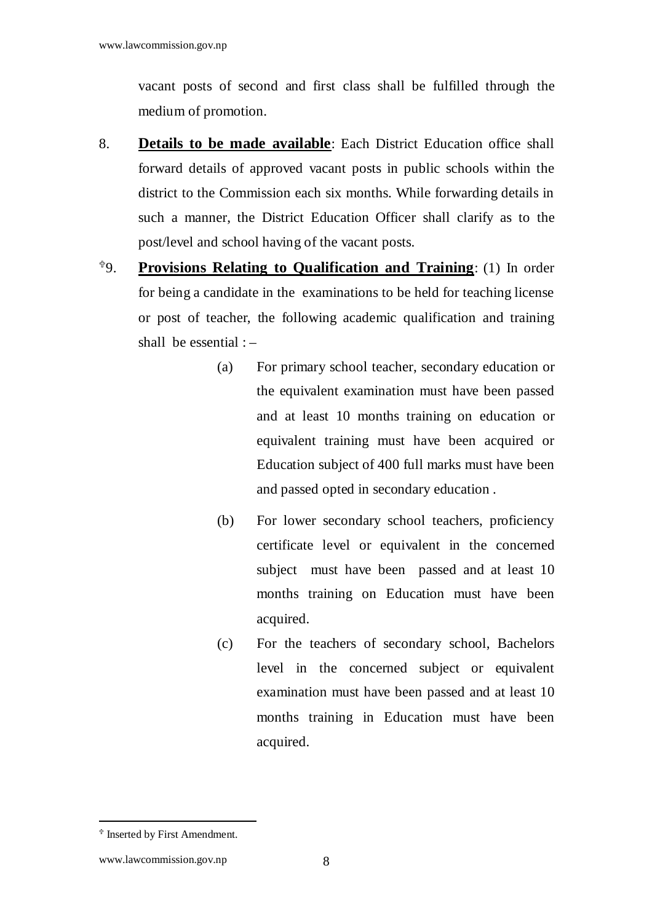vacant posts of second and first class shall be fulfilled through the medium of promotion.

- 8. **Details to be made available**: Each District Education office shall forward details of approved vacant posts in public schools within the district to the Commission each six months. While forwarding details in such a manner, the District Education Officer shall clarify as to the post/level and school having of the vacant posts.
- 9. **Provisions Relating to Qualification and Training**: (1) In order for being a candidate in the examinations to be held for teaching license or post of teacher, the following academic qualification and training shall be essential : –
	- (a) For primary school teacher, secondary education or the equivalent examination must have been passed and at least 10 months training on education or equivalent training must have been acquired or Education subject of 400 full marks must have been and passed opted in secondary education .
	- (b) For lower secondary school teachers, proficiency certificate level or equivalent in the concerned subject must have been passed and at least 10 months training on Education must have been acquired.
	- (c) For the teachers of secondary school, Bachelors level in the concerned subject or equivalent examination must have been passed and at least 10 months training in Education must have been acquired.

 $*$  Inserted by First Amendment.

www.lawcommission.gov.np 8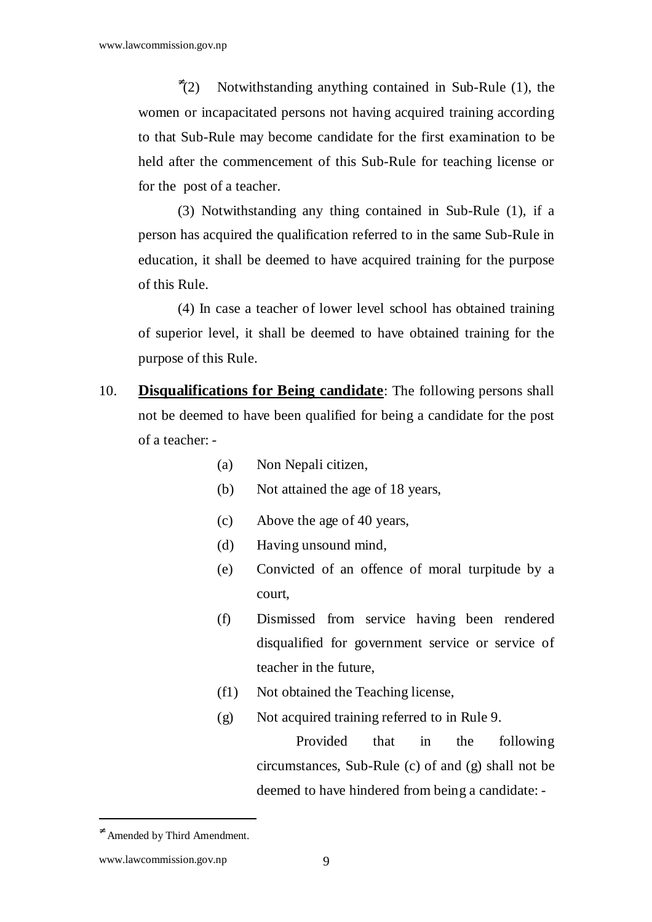$\overline{f}(2)$ Notwithstanding anything contained in Sub-Rule (1), the women or incapacitated persons not having acquired training according to that Sub-Rule may become candidate for the first examination to be held after the commencement of this Sub-Rule for teaching license or for the post of a teacher.

(3) Notwithstanding any thing contained in Sub-Rule (1), if a person has acquired the qualification referred to in the same Sub-Rule in education, it shall be deemed to have acquired training for the purpose of this Rule.

 (4) In case a teacher of lower level school has obtained training of superior level, it shall be deemed to have obtained training for the purpose of this Rule.

- 10. **Disqualifications for Being candidate**: The following persons shall not be deemed to have been qualified for being a candidate for the post of a teacher: -
	- (a) Non Nepali citizen,
	- (b) Not attained the age of 18 years,
	- (c) Above the age of 40 years,
	- (d) Having unsound mind,
	- (e) Convicted of an offence of moral turpitude by a court,
	- (f) Dismissed from service having been rendered disqualified for government service or service of teacher in the future,
	- (f1) Not obtained the Teaching license,
	- (g) Not acquired training referred to in Rule 9.

 Provided that in the following circumstances, Sub-Rule (c) of and (g) shall not be deemed to have hindered from being a candidate: -

 $\neq$  Amended by Third Amendment.

www.lawcommission.gov.np 9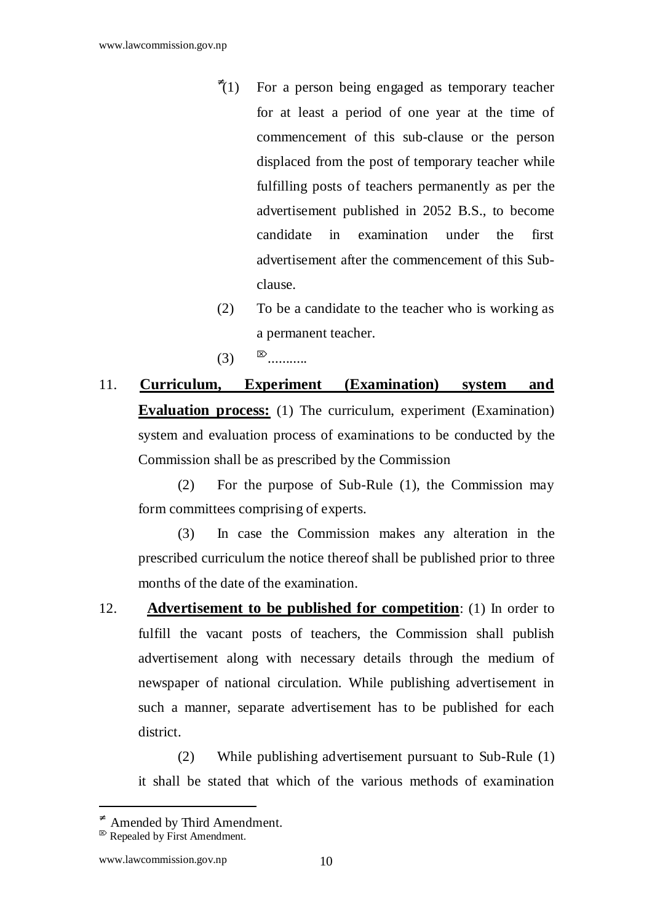- $\overline{f}(1)$ For a person being engaged as temporary teacher for at least a period of one year at the time of commencement of this sub-clause or the person displaced from the post of temporary teacher while fulfilling posts of teachers permanently as per the advertisement published in 2052 B.S., to become candidate in examination under the first advertisement after the commencement of this Subclause.
- (2) To be a candidate to the teacher who is working as a permanent teacher.
- $(3)$   $\mathbb{R}$ ...........

11. **Curriculum, Experiment (Examination) system and Evaluation process:** (1) The curriculum, experiment (Examination) system and evaluation process of examinations to be conducted by the Commission shall be as prescribed by the Commission

 (2) For the purpose of Sub-Rule (1), the Commission may form committees comprising of experts.

 (3) In case the Commission makes any alteration in the prescribed curriculum the notice thereof shall be published prior to three months of the date of the examination.

12. **Advertisement to be published for competition**: (1) In order to fulfill the vacant posts of teachers, the Commission shall publish advertisement along with necessary details through the medium of newspaper of national circulation. While publishing advertisement in such a manner, separate advertisement has to be published for each district.

 (2) While publishing advertisement pursuant to Sub-Rule (1) it shall be stated that which of the various methods of examination

<sup>≠</sup> Amended by Third Amendment.

 $\triangleright$  Repealed by First Amendment.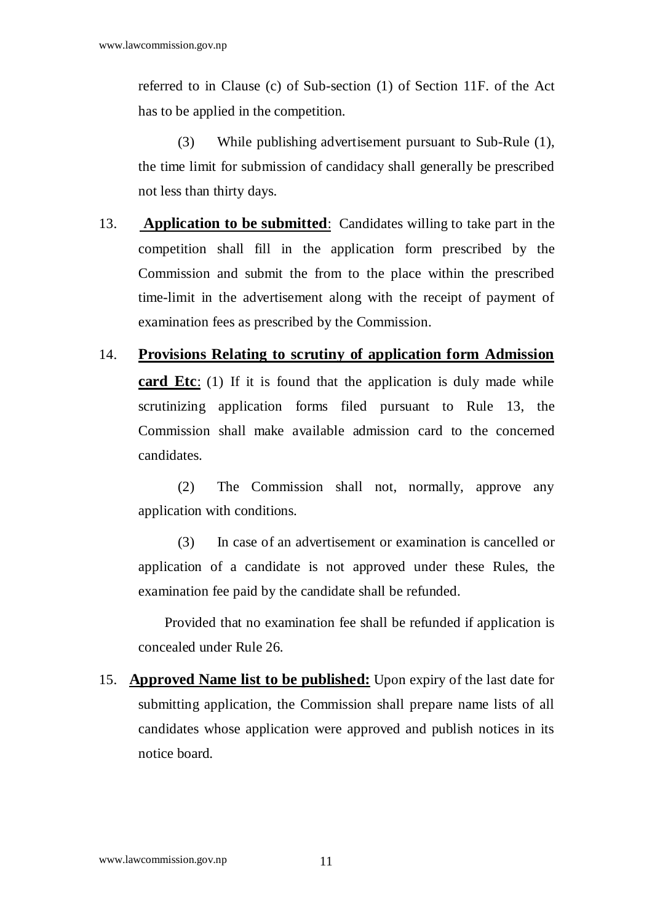referred to in Clause (c) of Sub-section (1) of Section 11F. of the Act has to be applied in the competition.

 (3) While publishing advertisement pursuant to Sub-Rule (1), the time limit for submission of candidacy shall generally be prescribed not less than thirty days.

- 13. **Application to be submitted**: Candidates willing to take part in the competition shall fill in the application form prescribed by the Commission and submit the from to the place within the prescribed time-limit in the advertisement along with the receipt of payment of examination fees as prescribed by the Commission.
- 14. **Provisions Relating to scrutiny of application form Admission card Etc**: (1) If it is found that the application is duly made while scrutinizing application forms filed pursuant to Rule 13, the Commission shall make available admission card to the concerned candidates.

 (2) The Commission shall not, normally, approve any application with conditions.

 (3) In case of an advertisement or examination is cancelled or application of a candidate is not approved under these Rules, the examination fee paid by the candidate shall be refunded.

 Provided that no examination fee shall be refunded if application is concealed under Rule 26.

15. **Approved Name list to be published:** Upon expiry of the last date for submitting application, the Commission shall prepare name lists of all candidates whose application were approved and publish notices in its notice board.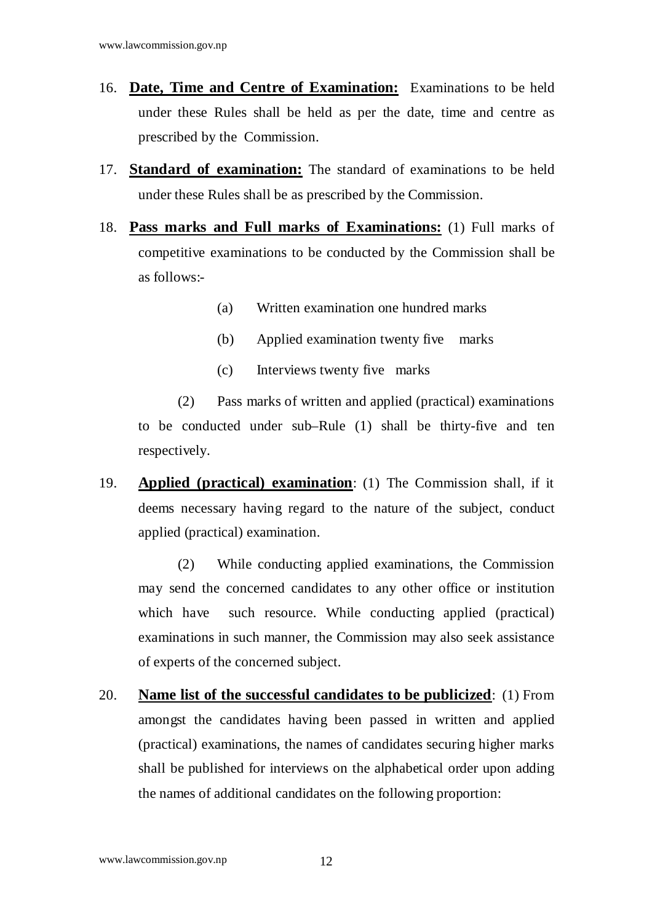- 16. **Date, Time and Centre of Examination:** Examinations to be held under these Rules shall be held as per the date, time and centre as prescribed by the Commission.
- 17. **Standard of examination:** The standard of examinations to be held under these Rules shall be as prescribed by the Commission.
- 18. **Pass marks and Full marks of Examinations:** (1) Full marks of competitive examinations to be conducted by the Commission shall be as follows:-
	- (a) Written examination one hundred marks
	- (b) Applied examination twenty five marks
	- (c) Interviews twenty five marks

 (2) Pass marks of written and applied (practical) examinations to be conducted under sub–Rule (1) shall be thirty-five and ten respectively.

19. **Applied (practical) examination**: (1) The Commission shall, if it deems necessary having regard to the nature of the subject, conduct applied (practical) examination.

 (2) While conducting applied examinations, the Commission may send the concerned candidates to any other office or institution which have such resource. While conducting applied (practical) examinations in such manner, the Commission may also seek assistance of experts of the concerned subject.

20. **Name list of the successful candidates to be publicized**: (1) From amongst the candidates having been passed in written and applied (practical) examinations, the names of candidates securing higher marks shall be published for interviews on the alphabetical order upon adding the names of additional candidates on the following proportion: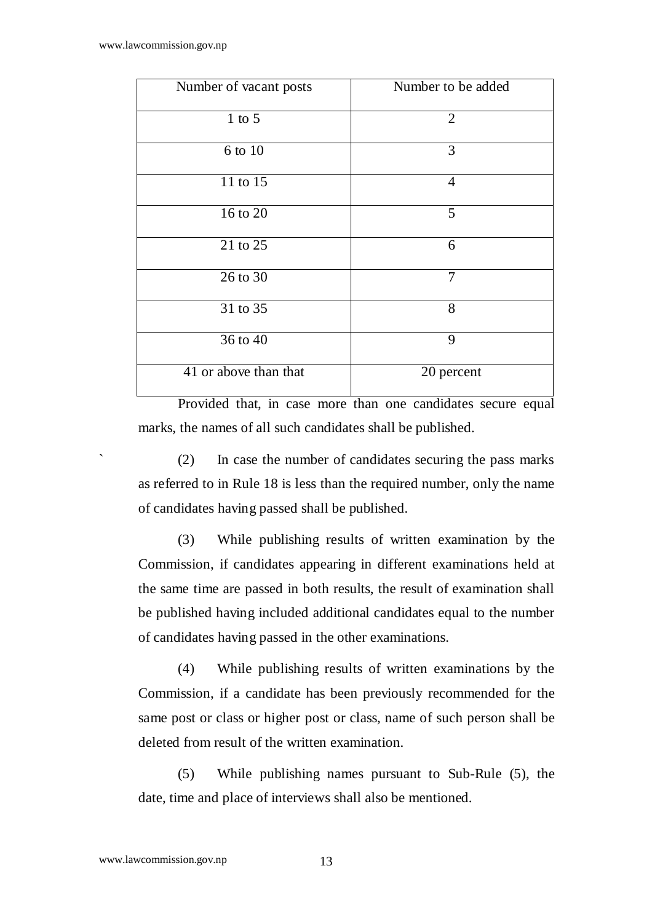| Number of vacant posts | Number to be added |
|------------------------|--------------------|
| $1$ to $5$             | $\overline{2}$     |
| 6 to 10                | 3                  |
| 11 to 15               | $\overline{4}$     |
| 16 to 20               | 5                  |
| 21 to 25               | 6                  |
| 26 to 30               | 7                  |
| 31 to 35               | 8                  |
| 36 to 40               | 9                  |
| 41 or above than that  | 20 percent         |

 Provided that, in case more than one candidates secure equal marks, the names of all such candidates shall be published.

` (2) In case the number of candidates securing the pass marks as referred to in Rule 18 is less than the required number, only the name of candidates having passed shall be published.

 (3) While publishing results of written examination by the Commission, if candidates appearing in different examinations held at the same time are passed in both results, the result of examination shall be published having included additional candidates equal to the number of candidates having passed in the other examinations.

 (4) While publishing results of written examinations by the Commission, if a candidate has been previously recommended for the same post or class or higher post or class, name of such person shall be deleted from result of the written examination.

 (5) While publishing names pursuant to Sub-Rule (5), the date, time and place of interviews shall also be mentioned.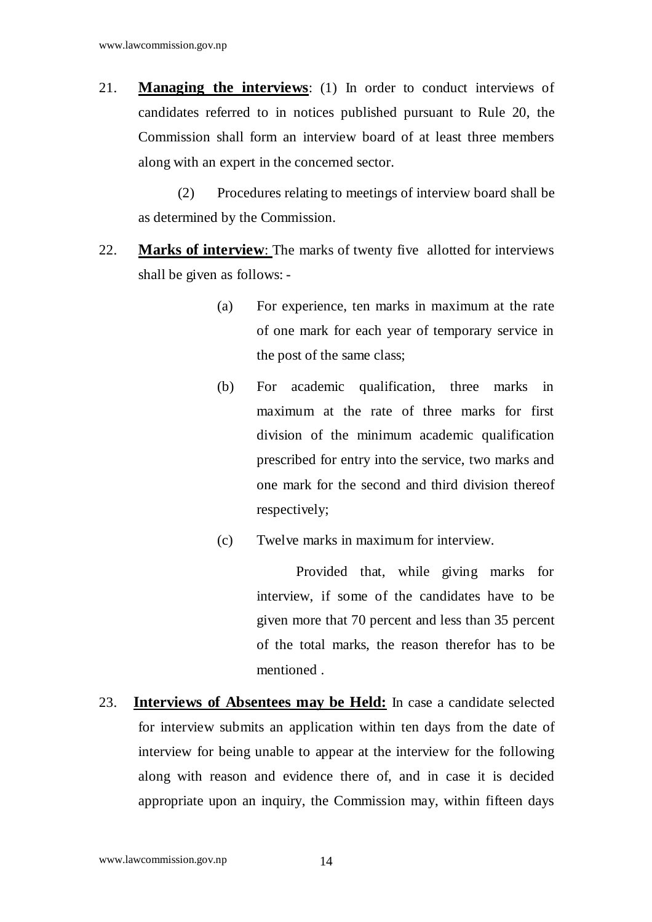21. **Managing the interviews**: (1) In order to conduct interviews of candidates referred to in notices published pursuant to Rule 20, the Commission shall form an interview board of at least three members along with an expert in the concerned sector.

 (2) Procedures relating to meetings of interview board shall be as determined by the Commission.

- 22. **Marks of interview**: The marks of twenty five allotted for interviews shall be given as follows: -
	- (a) For experience, ten marks in maximum at the rate of one mark for each year of temporary service in the post of the same class;
	- (b) For academic qualification, three marks in maximum at the rate of three marks for first division of the minimum academic qualification prescribed for entry into the service, two marks and one mark for the second and third division thereof respectively;
	- (c) Twelve marks in maximum for interview.

 Provided that, while giving marks for interview, if some of the candidates have to be given more that 70 percent and less than 35 percent of the total marks, the reason therefor has to be mentioned .

23. **Interviews of Absentees may be Held:** In case a candidate selected for interview submits an application within ten days from the date of interview for being unable to appear at the interview for the following along with reason and evidence there of, and in case it is decided appropriate upon an inquiry, the Commission may, within fifteen days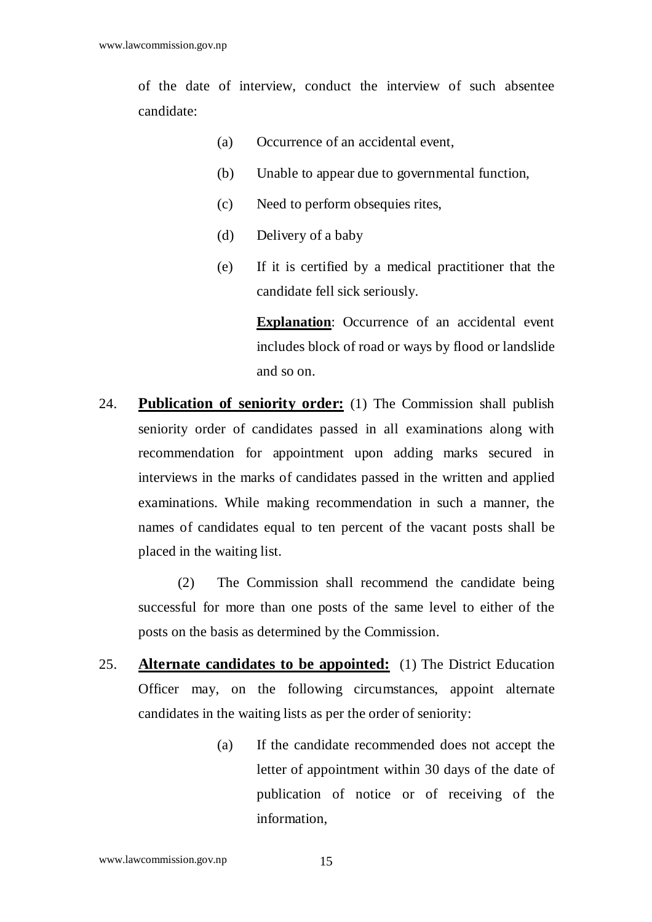of the date of interview, conduct the interview of such absentee candidate:

- (a) Occurrence of an accidental event,
- (b) Unable to appear due to governmental function,
- (c) Need to perform obsequies rites,
- (d) Delivery of a baby
- (e) If it is certified by a medical practitioner that the candidate fell sick seriously.

**Explanation:** Occurrence of an accidental event includes block of road or ways by flood or landslide and so on.

24. **Publication of seniority order:** (1) The Commission shall publish seniority order of candidates passed in all examinations along with recommendation for appointment upon adding marks secured in interviews in the marks of candidates passed in the written and applied examinations. While making recommendation in such a manner, the names of candidates equal to ten percent of the vacant posts shall be placed in the waiting list.

 (2) The Commission shall recommend the candidate being successful for more than one posts of the same level to either of the posts on the basis as determined by the Commission.

- 25. **Alternate candidates to be appointed:** (1) The District Education Officer may, on the following circumstances, appoint alternate candidates in the waiting lists as per the order of seniority:
	- (a) If the candidate recommended does not accept the letter of appointment within 30 days of the date of publication of notice or of receiving of the information,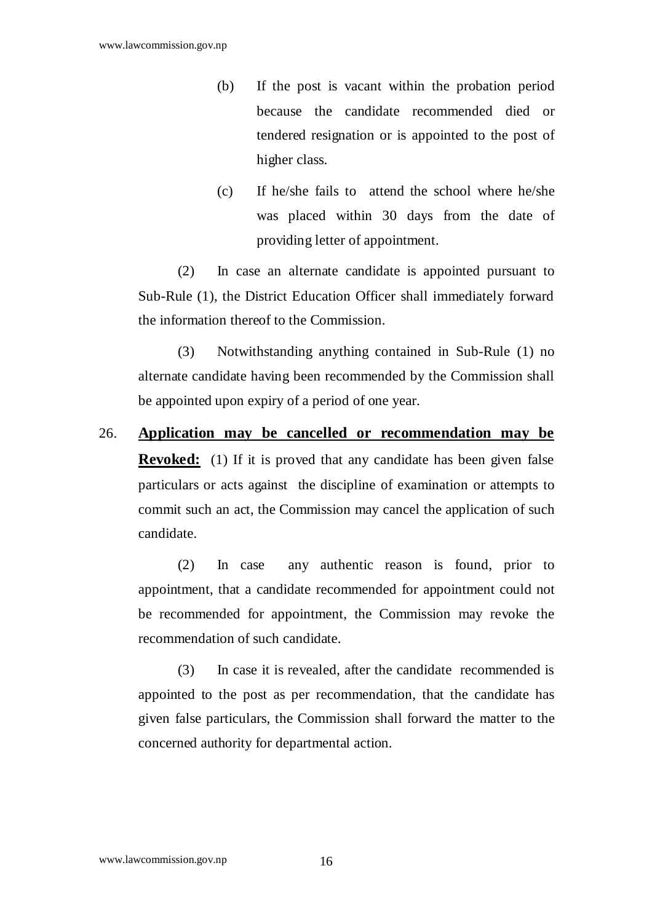- (b) If the post is vacant within the probation period because the candidate recommended died or tendered resignation or is appointed to the post of higher class.
- (c) If he/she fails to attend the school where he/she was placed within 30 days from the date of providing letter of appointment.

 (2) In case an alternate candidate is appointed pursuant to Sub-Rule (1), the District Education Officer shall immediately forward the information thereof to the Commission.

 (3) Notwithstanding anything contained in Sub-Rule (1) no alternate candidate having been recommended by the Commission shall be appointed upon expiry of a period of one year.

26. **Application may be cancelled or recommendation may be Revoked:** (1) If it is proved that any candidate has been given false particulars or acts against the discipline of examination or attempts to commit such an act, the Commission may cancel the application of such candidate.

 (2) In case any authentic reason is found, prior to appointment, that a candidate recommended for appointment could not be recommended for appointment, the Commission may revoke the recommendation of such candidate.

 (3) In case it is revealed, after the candidate recommended is appointed to the post as per recommendation, that the candidate has given false particulars, the Commission shall forward the matter to the concerned authority for departmental action.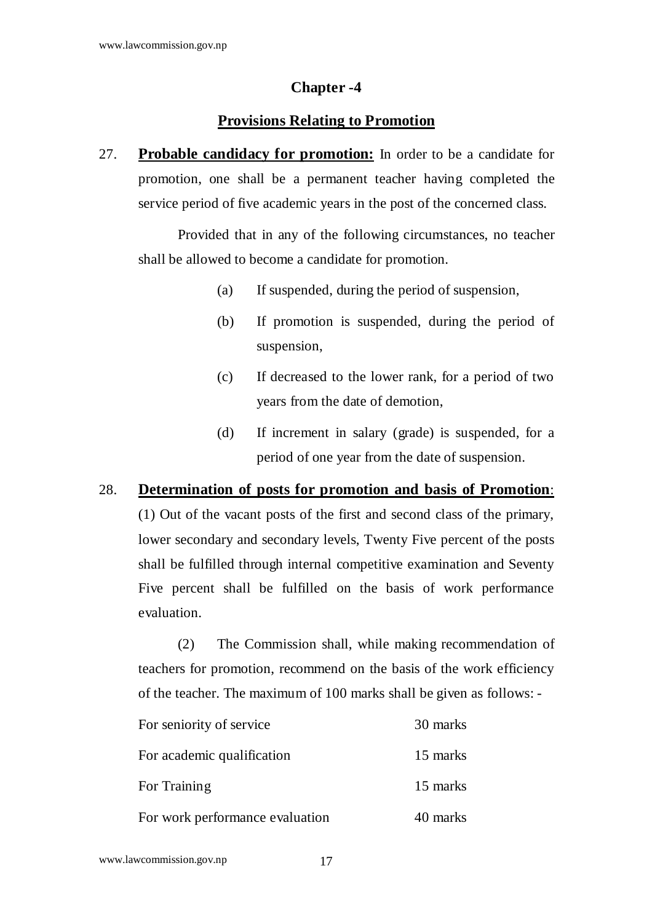#### **Chapter -4**

## **Provisions Relating to Promotion**

27. **Probable candidacy for promotion:** In order to be a candidate for promotion, one shall be a permanent teacher having completed the service period of five academic years in the post of the concerned class.

 Provided that in any of the following circumstances, no teacher shall be allowed to become a candidate for promotion.

- (a) If suspended, during the period of suspension,
- (b) If promotion is suspended, during the period of suspension,
- (c) If decreased to the lower rank, for a period of two years from the date of demotion,
- (d) If increment in salary (grade) is suspended, for a period of one year from the date of suspension.

#### 28. **Determination of posts for promotion and basis of Promotion**:

(1) Out of the vacant posts of the first and second class of the primary, lower secondary and secondary levels, Twenty Five percent of the posts shall be fulfilled through internal competitive examination and Seventy Five percent shall be fulfilled on the basis of work performance evaluation.

 (2) The Commission shall, while making recommendation of teachers for promotion, recommend on the basis of the work efficiency of the teacher. The maximum of 100 marks shall be given as follows: -

| For seniority of service        | 30 marks |
|---------------------------------|----------|
| For academic qualification      | 15 marks |
| For Training                    | 15 marks |
| For work performance evaluation | 40 marks |

www.lawcommission.gov.np 17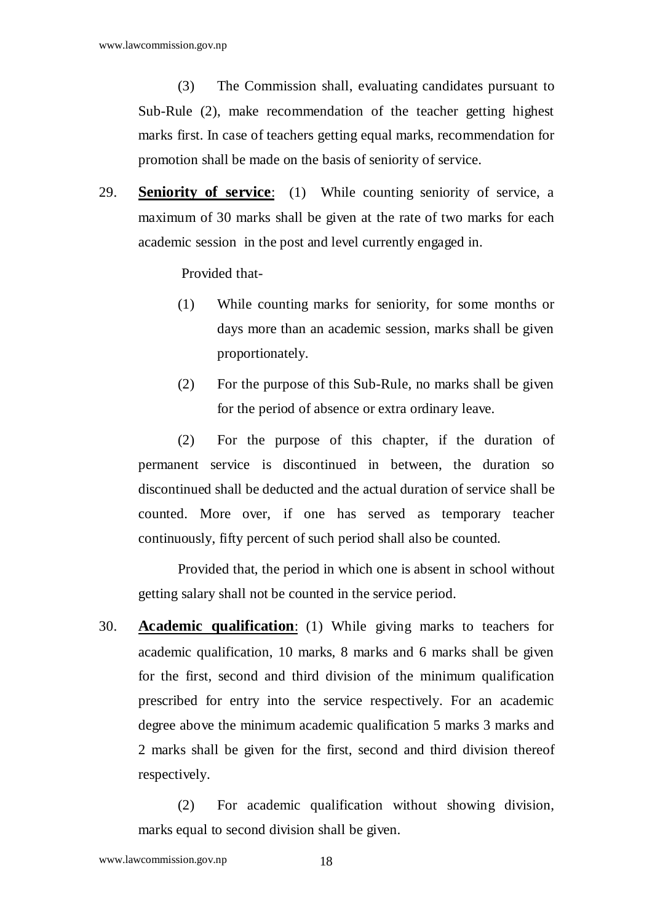(3) The Commission shall, evaluating candidates pursuant to Sub-Rule (2), make recommendation of the teacher getting highest marks first. In case of teachers getting equal marks, recommendation for promotion shall be made on the basis of seniority of service.

29. **Seniority of service**: (1) While counting seniority of service, a maximum of 30 marks shall be given at the rate of two marks for each academic session in the post and level currently engaged in.

Provided that-

- (1) While counting marks for seniority, for some months or days more than an academic session, marks shall be given proportionately.
- (2) For the purpose of this Sub-Rule, no marks shall be given for the period of absence or extra ordinary leave.

 (2) For the purpose of this chapter, if the duration of permanent service is discontinued in between, the duration so discontinued shall be deducted and the actual duration of service shall be counted. More over, if one has served as temporary teacher continuously, fifty percent of such period shall also be counted.

 Provided that, the period in which one is absent in school without getting salary shall not be counted in the service period.

30. **Academic qualification**: (1) While giving marks to teachers for academic qualification, 10 marks, 8 marks and 6 marks shall be given for the first, second and third division of the minimum qualification prescribed for entry into the service respectively. For an academic degree above the minimum academic qualification 5 marks 3 marks and 2 marks shall be given for the first, second and third division thereof respectively.

 (2) For academic qualification without showing division, marks equal to second division shall be given.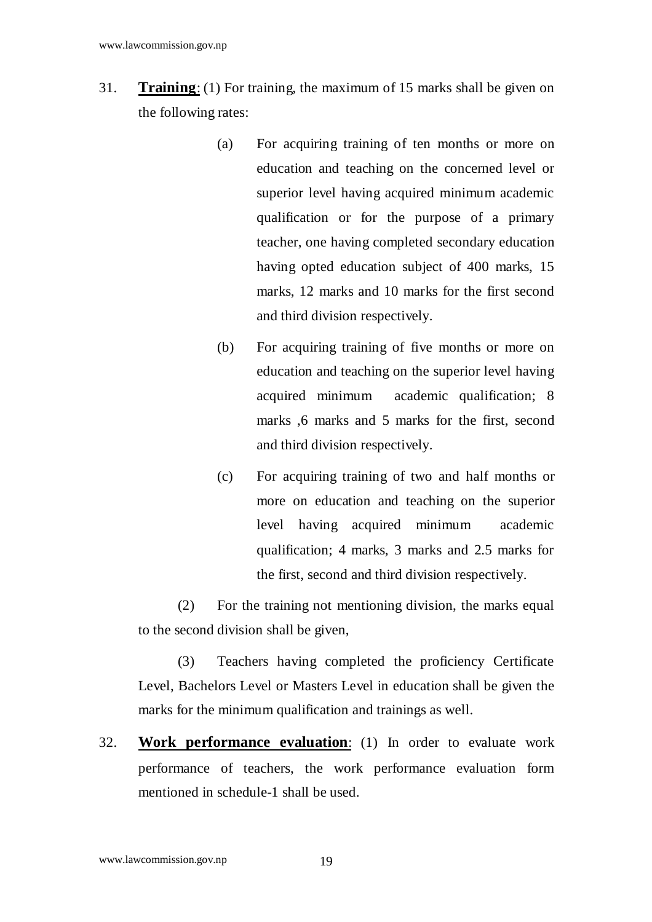- 31. **Training**: (1) For training, the maximum of 15 marks shall be given on the following rates:
	- (a) For acquiring training of ten months or more on education and teaching on the concerned level or superior level having acquired minimum academic qualification or for the purpose of a primary teacher, one having completed secondary education having opted education subject of 400 marks, 15 marks, 12 marks and 10 marks for the first second and third division respectively.
	- (b) For acquiring training of five months or more on education and teaching on the superior level having acquired minimum academic qualification; 8 marks ,6 marks and 5 marks for the first, second and third division respectively.
	- (c) For acquiring training of two and half months or more on education and teaching on the superior level having acquired minimum academic qualification; 4 marks, 3 marks and 2.5 marks for the first, second and third division respectively.

 (2) For the training not mentioning division, the marks equal to the second division shall be given,

 (3) Teachers having completed the proficiency Certificate Level, Bachelors Level or Masters Level in education shall be given the marks for the minimum qualification and trainings as well.

32. **Work performance evaluation**: (1) In order to evaluate work performance of teachers, the work performance evaluation form mentioned in schedule-1 shall be used.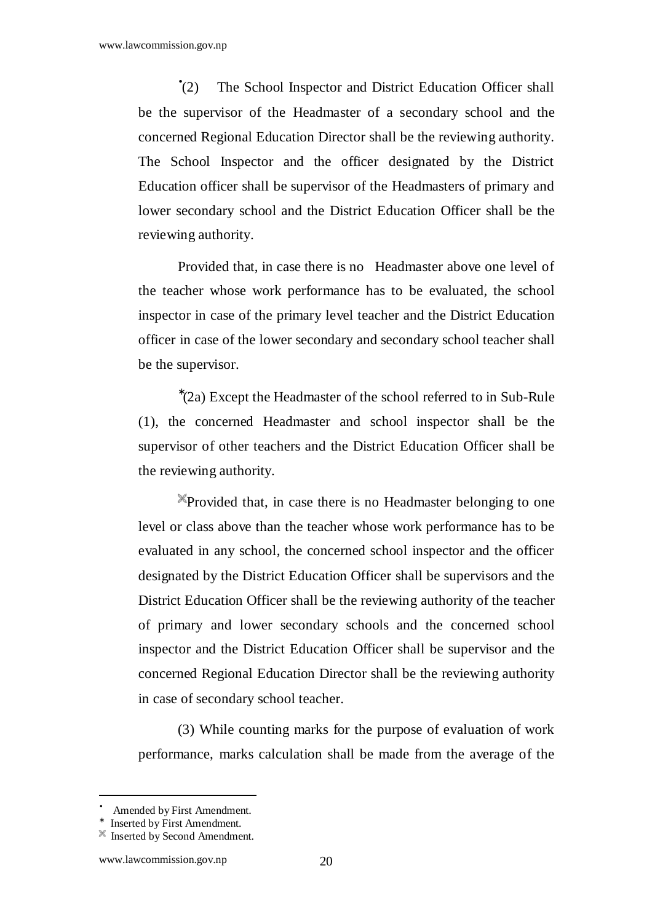$\degree$ (2) The School Inspector and District Education Officer shall be the supervisor of the Headmaster of a secondary school and the concerned Regional Education Director shall be the reviewing authority. The School Inspector and the officer designated by the District Education officer shall be supervisor of the Headmasters of primary and lower secondary school and the District Education Officer shall be the reviewing authority.

 Provided that, in case there is no Headmaster above one level of the teacher whose work performance has to be evaluated, the school inspector in case of the primary level teacher and the District Education officer in case of the lower secondary and secondary school teacher shall be the supervisor.

∗ (2a) Except the Headmaster of the school referred to in Sub-Rule (1), the concerned Headmaster and school inspector shall be the supervisor of other teachers and the District Education Officer shall be the reviewing authority.

Provided that, in case there is no Headmaster belonging to one level or class above than the teacher whose work performance has to be evaluated in any school, the concerned school inspector and the officer designated by the District Education Officer shall be supervisors and the District Education Officer shall be the reviewing authority of the teacher of primary and lower secondary schools and the concerned school inspector and the District Education Officer shall be supervisor and the concerned Regional Education Director shall be the reviewing authority in case of secondary school teacher.

 (3) While counting marks for the purpose of evaluation of work performance, marks calculation shall be made from the average of the

<sup>•</sup> Amended by First Amendment.

<sup>∗</sup> Inserted by First Amendment.

 $\mathbb{X}$  Inserted by Second Amendment.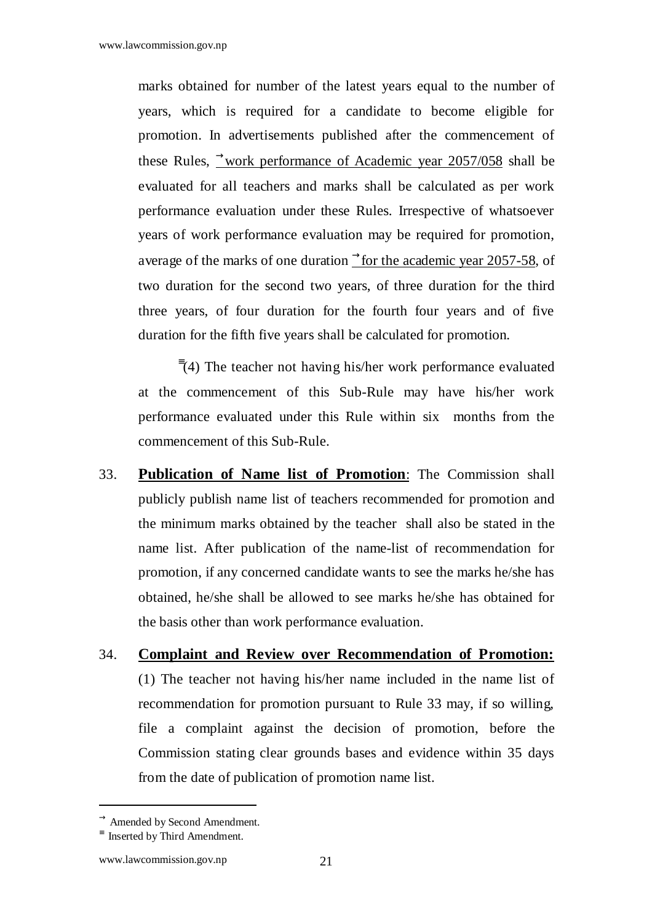marks obtained for number of the latest years equal to the number of years, which is required for a candidate to become eligible for promotion. In advertisements published after the commencement of these Rules,  $\rightarrow$ work performance of Academic year 2057/058 shall be evaluated for all teachers and marks shall be calculated as per work performance evaluation under these Rules. Irrespective of whatsoever years of work performance evaluation may be required for promotion, average of the marks of one duration  $\rightarrow$  for the academic year 2057-58, of two duration for the second two years, of three duration for the third three years, of four duration for the fourth four years and of five duration for the fifth five years shall be calculated for promotion.

≡ (4) The teacher not having his/her work performance evaluated at the commencement of this Sub-Rule may have his/her work performance evaluated under this Rule within six months from the commencement of this Sub-Rule.

- 33. **Publication of Name list of Promotion**: The Commission shall publicly publish name list of teachers recommended for promotion and the minimum marks obtained by the teacher shall also be stated in the name list. After publication of the name-list of recommendation for promotion, if any concerned candidate wants to see the marks he/she has obtained, he/she shall be allowed to see marks he/she has obtained for the basis other than work performance evaluation.
- 34. **Complaint and Review over Recommendation of Promotion:** (1) The teacher not having his/her name included in the name list of recommendation for promotion pursuant to Rule 33 may, if so willing, file a complaint against the decision of promotion, before the Commission stating clear grounds bases and evidence within 35 days from the date of publication of promotion name list.

 $\rightarrow$  Amended by Second Amendment.

<sup>≡</sup> Inserted by Third Amendment.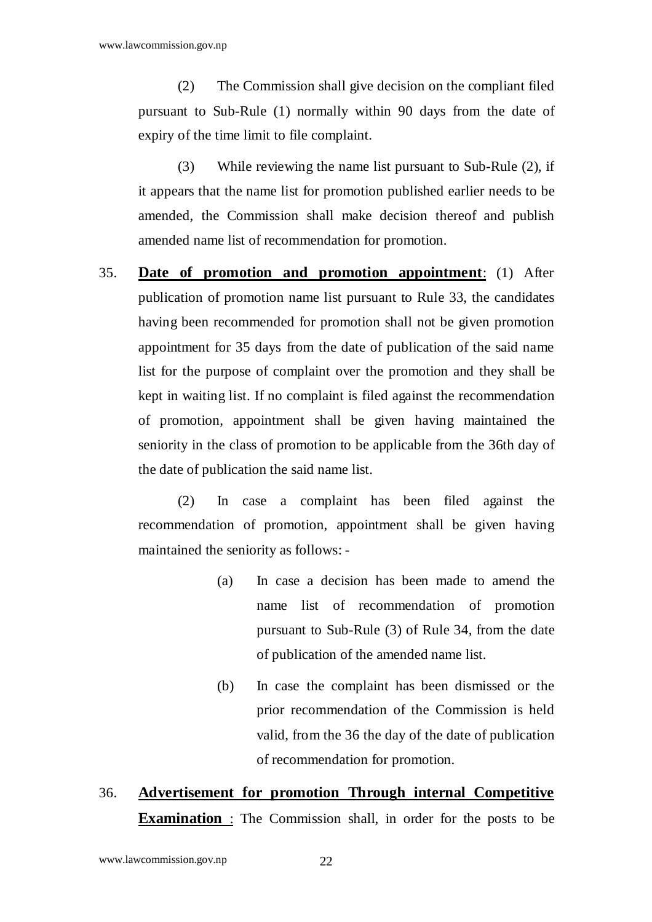(2) The Commission shall give decision on the compliant filed pursuant to Sub-Rule (1) normally within 90 days from the date of expiry of the time limit to file complaint.

 (3) While reviewing the name list pursuant to Sub-Rule (2), if it appears that the name list for promotion published earlier needs to be amended, the Commission shall make decision thereof and publish amended name list of recommendation for promotion.

35. **Date of promotion and promotion appointment**: (1) After publication of promotion name list pursuant to Rule 33, the candidates having been recommended for promotion shall not be given promotion appointment for 35 days from the date of publication of the said name list for the purpose of complaint over the promotion and they shall be kept in waiting list. If no complaint is filed against the recommendation of promotion, appointment shall be given having maintained the seniority in the class of promotion to be applicable from the 36th day of the date of publication the said name list.

 (2) In case a complaint has been filed against the recommendation of promotion, appointment shall be given having maintained the seniority as follows: -

- (a) In case a decision has been made to amend the name list of recommendation of promotion pursuant to Sub-Rule (3) of Rule 34, from the date of publication of the amended name list.
- (b) In case the complaint has been dismissed or the prior recommendation of the Commission is held valid, from the 36 the day of the date of publication of recommendation for promotion.

# 36. **Advertisement for promotion Through internal Competitive Examination** : The Commission shall, in order for the posts to be

www.lawcommission.gov.np 22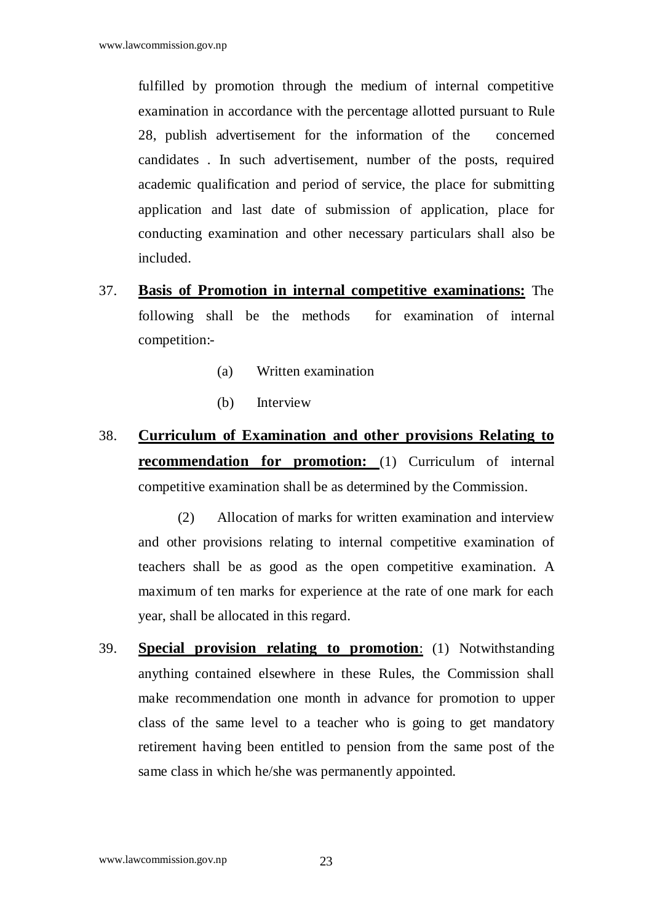fulfilled by promotion through the medium of internal competitive examination in accordance with the percentage allotted pursuant to Rule 28, publish advertisement for the information of the concerned candidates . In such advertisement, number of the posts, required academic qualification and period of service, the place for submitting application and last date of submission of application, place for conducting examination and other necessary particulars shall also be included.

- 37. **Basis of Promotion in internal competitive examinations:** The following shall be the methods for examination of internal competition:-
	- (a) Written examination
	- (b) Interview
- 38. **Curriculum of Examination and other provisions Relating to recommendation for promotion:** (1) Curriculum of internal competitive examination shall be as determined by the Commission.

 (2) Allocation of marks for written examination and interview and other provisions relating to internal competitive examination of teachers shall be as good as the open competitive examination. A maximum of ten marks for experience at the rate of one mark for each year, shall be allocated in this regard.

39. **Special provision relating to promotion**: (1) Notwithstanding anything contained elsewhere in these Rules, the Commission shall make recommendation one month in advance for promotion to upper class of the same level to a teacher who is going to get mandatory retirement having been entitled to pension from the same post of the same class in which he/she was permanently appointed.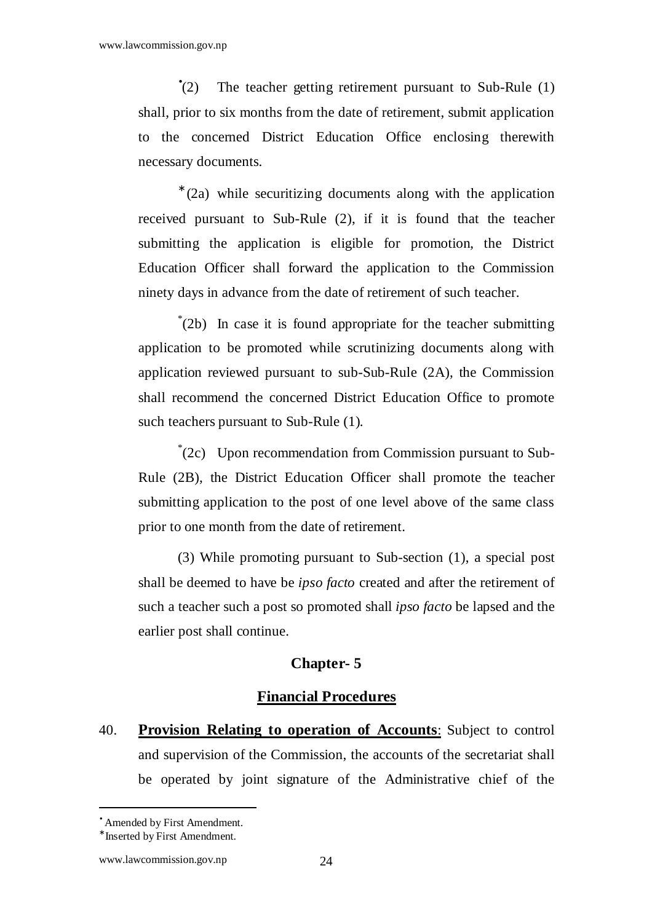$\degree$ (2) The teacher getting retirement pursuant to Sub-Rule (1) shall, prior to six months from the date of retirement, submit application to the concerned District Education Office enclosing therewith necessary documents.

∗ (2a) while securitizing documents along with the application received pursuant to Sub-Rule (2), if it is found that the teacher submitting the application is eligible for promotion, the District Education Officer shall forward the application to the Commission ninety days in advance from the date of retirement of such teacher.

\* (2b) In case it is found appropriate for the teacher submitting application to be promoted while scrutinizing documents along with application reviewed pursuant to sub-Sub-Rule (2A), the Commission shall recommend the concerned District Education Office to promote such teachers pursuant to Sub-Rule (1).

\* (2c) Upon recommendation from Commission pursuant to Sub-Rule (2B), the District Education Officer shall promote the teacher submitting application to the post of one level above of the same class prior to one month from the date of retirement.

 (3) While promoting pursuant to Sub-section (1), a special post shall be deemed to have be *ipso facto* created and after the retirement of such a teacher such a post so promoted shall *ipso facto* be lapsed and the earlier post shall continue.

#### **Chapter- 5**

## **Financial Procedures**

40. **Provision Relating to operation of Accounts**: Subject to control and supervision of the Commission, the accounts of the secretariat shall be operated by joint signature of the Administrative chief of the

<sup>•</sup> Amended by First Amendment.

<sup>∗</sup> Inserted by First Amendment.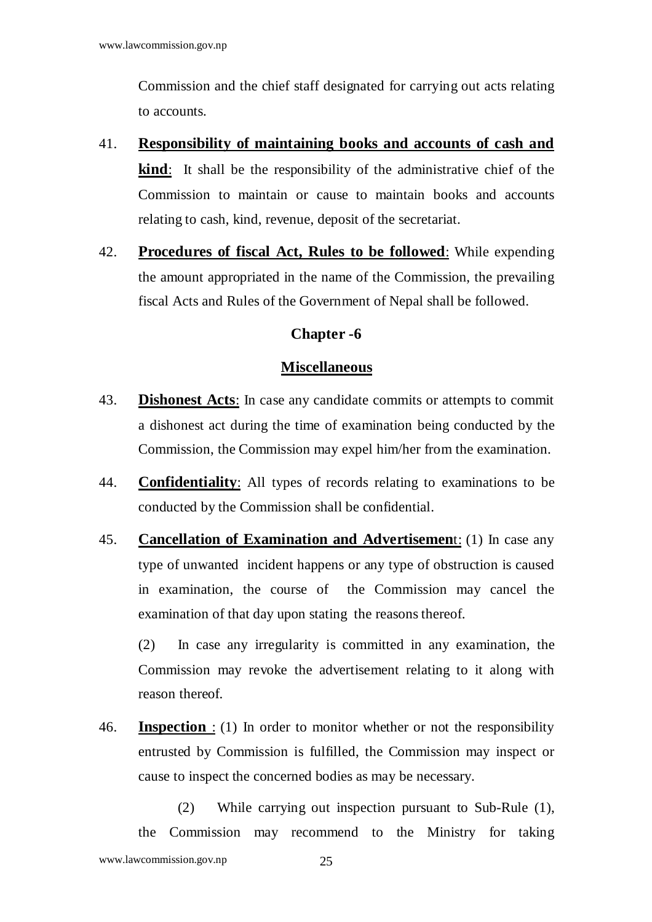Commission and the chief staff designated for carrying out acts relating to accounts.

- 41. **Responsibility of maintaining books and accounts of cash and kind**: It shall be the responsibility of the administrative chief of the Commission to maintain or cause to maintain books and accounts relating to cash, kind, revenue, deposit of the secretariat.
- 42. **Procedures of fiscal Act, Rules to be followed**: While expending the amount appropriated in the name of the Commission, the prevailing fiscal Acts and Rules of the Government of Nepal shall be followed.

#### **Chapter -6**

#### **Miscellaneous**

- 43. **Dishonest Acts**: In case any candidate commits or attempts to commit a dishonest act during the time of examination being conducted by the Commission, the Commission may expel him/her from the examination.
- 44. **Confidentiality**: All types of records relating to examinations to be conducted by the Commission shall be confidential.
- 45. **Cancellation of Examination and Advertisemen**t: (1) In case any type of unwanted incident happens or any type of obstruction is caused in examination, the course of the Commission may cancel the examination of that day upon stating the reasons thereof.

 (2) In case any irregularity is committed in any examination, the Commission may revoke the advertisement relating to it along with reason thereof.

46. **Inspection** : (1) In order to monitor whether or not the responsibility entrusted by Commission is fulfilled, the Commission may inspect or cause to inspect the concerned bodies as may be necessary.

 (2) While carrying out inspection pursuant to Sub-Rule (1), the Commission may recommend to the Ministry for taking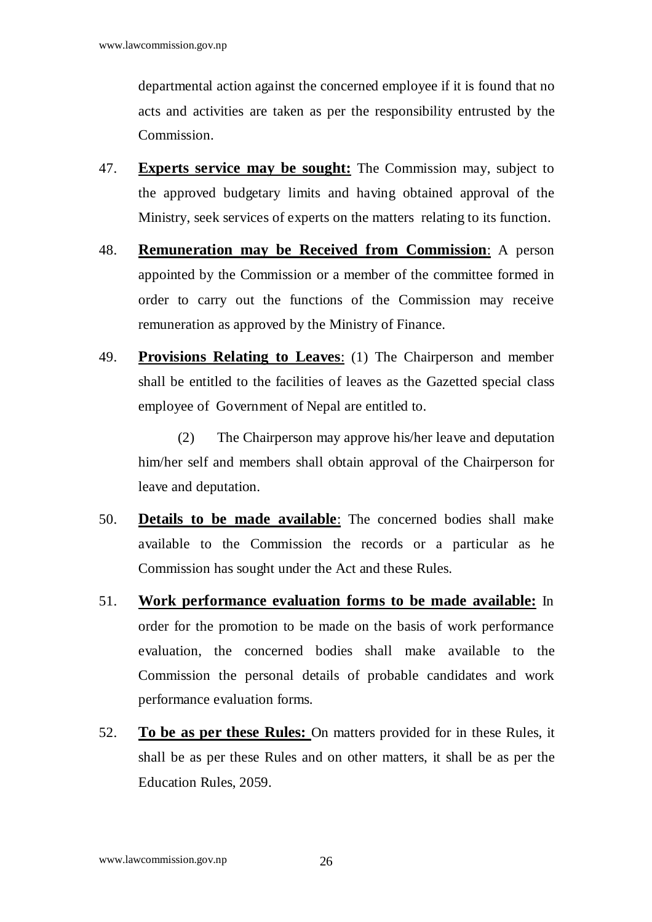departmental action against the concerned employee if it is found that no acts and activities are taken as per the responsibility entrusted by the Commission.

- 47. **Experts service may be sought:** The Commission may, subject to the approved budgetary limits and having obtained approval of the Ministry, seek services of experts on the matters relating to its function.
- 48. **Remuneration may be Received from Commission**: A person appointed by the Commission or a member of the committee formed in order to carry out the functions of the Commission may receive remuneration as approved by the Ministry of Finance.
- 49. **Provisions Relating to Leaves**: (1) The Chairperson and member shall be entitled to the facilities of leaves as the Gazetted special class employee of Government of Nepal are entitled to.

 (2) The Chairperson may approve his/her leave and deputation him/her self and members shall obtain approval of the Chairperson for leave and deputation.

- 50. **Details to be made available**: The concerned bodies shall make available to the Commission the records or a particular as he Commission has sought under the Act and these Rules.
- 51. **Work performance evaluation forms to be made available:** In order for the promotion to be made on the basis of work performance evaluation, the concerned bodies shall make available to the Commission the personal details of probable candidates and work performance evaluation forms.
- 52. **To be as per these Rules:** On matters provided for in these Rules, it shall be as per these Rules and on other matters, it shall be as per the Education Rules, 2059.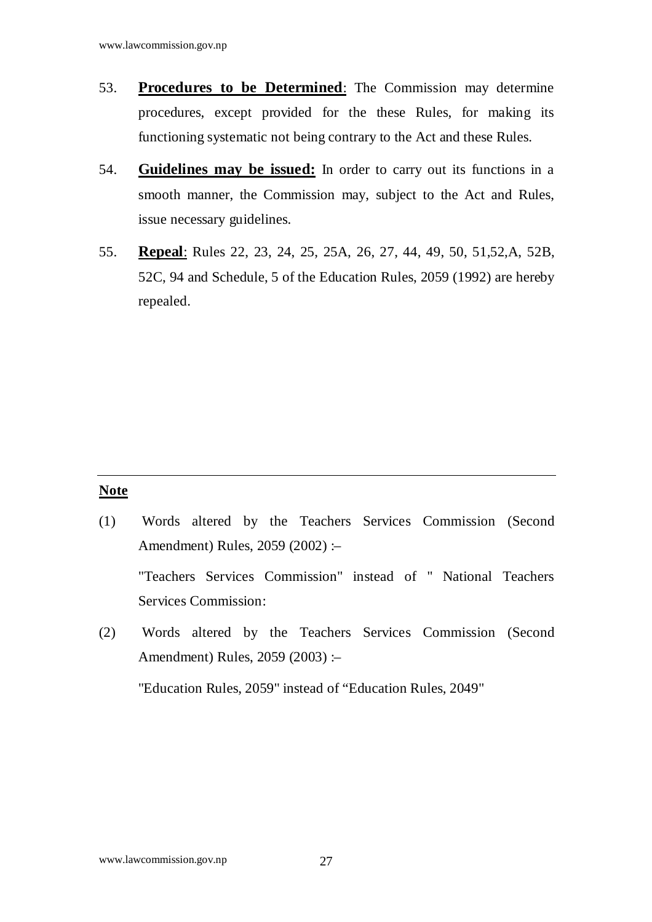- 53. **Procedures to be Determined**: The Commission may determine procedures, except provided for the these Rules, for making its functioning systematic not being contrary to the Act and these Rules.
- 54. **Guidelines may be issued:** In order to carry out its functions in a smooth manner, the Commission may, subject to the Act and Rules, issue necessary guidelines.
- 55. **Repeal**: Rules 22, 23, 24, 25, 25A, 26, 27, 44, 49, 50, 51,52,A, 52B, 52C, 94 and Schedule, 5 of the Education Rules, 2059 (1992) are hereby repealed.

#### **Note**

- (1) Words altered by the Teachers Services Commission (Second Amendment) Rules, 2059 (2002) :– "Teachers Services Commission" instead of " National Teachers Services Commission:
- (2) Words altered by the Teachers Services Commission (Second Amendment) Rules, 2059 (2003) :–

"Education Rules, 2059" instead of "Education Rules, 2049"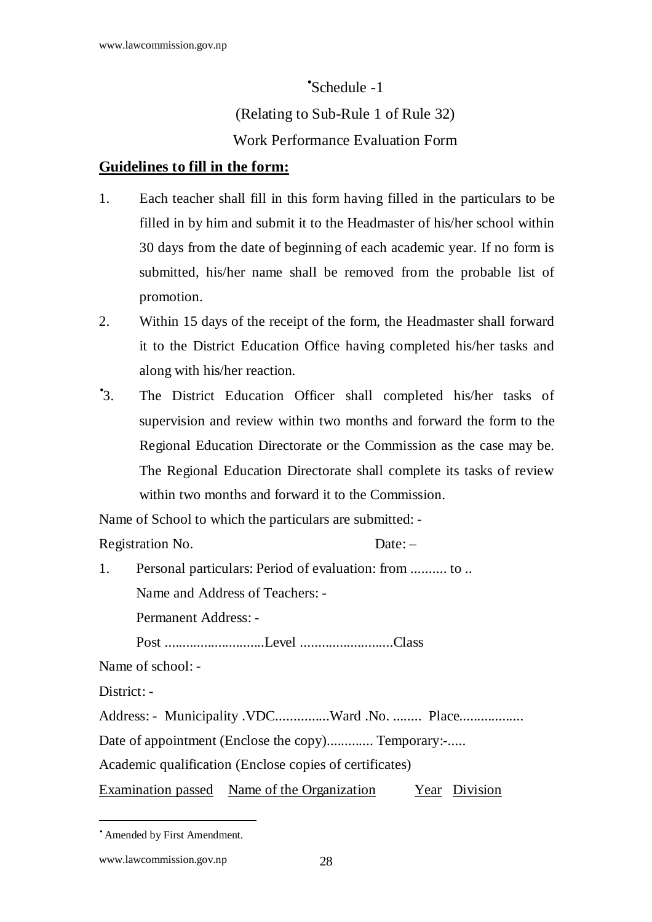#### •Schedule -1

(Relating to Sub-Rule 1 of Rule 32)

## Work Performance Evaluation Form

## **Guidelines to fill in the form:**

- 1. Each teacher shall fill in this form having filled in the particulars to be filled in by him and submit it to the Headmaster of his/her school within 30 days from the date of beginning of each academic year. If no form is submitted, his/her name shall be removed from the probable list of promotion.
- 2. Within 15 days of the receipt of the form, the Headmaster shall forward it to the District Education Office having completed his/her tasks and along with his/her reaction.
- $\cdot$ 3. The District Education Officer shall completed his/her tasks of supervision and review within two months and forward the form to the Regional Education Directorate or the Commission as the case may be. The Regional Education Directorate shall complete its tasks of review within two months and forward it to the Commission.

Name of School to which the particulars are submitted: -

Registration No. Date: –

1. Personal particulars: Period of evaluation: from .......... to .. Name and Address of Teachers: - Permanent Address: - Post ............................Level ..........................Class Name of school: - District: -Address: - Municipality .VDC...............Ward .No. ........ Place...................

Date of appointment (Enclose the copy).............. Temporary:-.....

Academic qualification (Enclose copies of certificates)

Examination passed Name of the Organization Year Division

<sup>•</sup> Amended by First Amendment.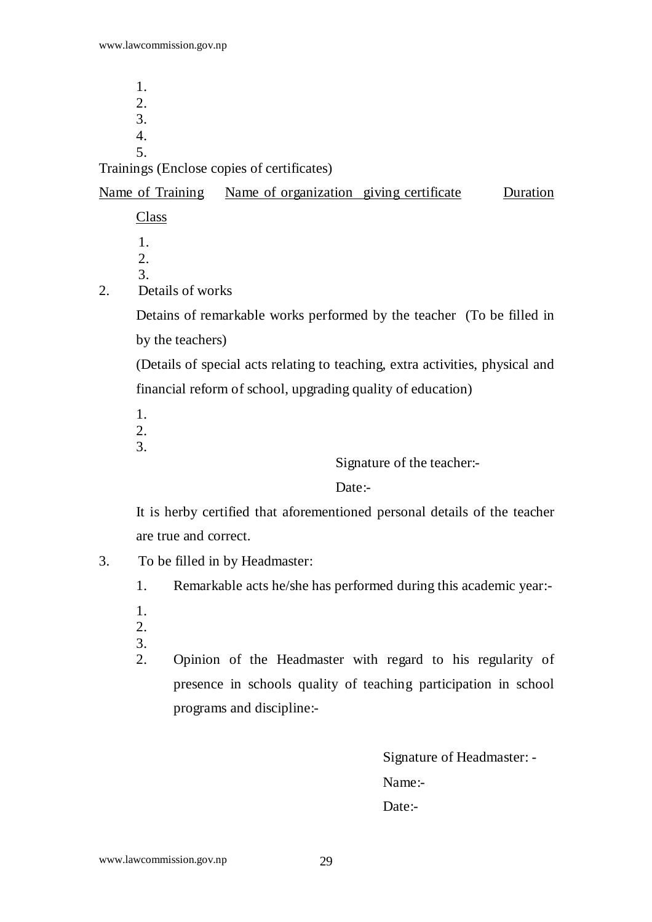1. 2. 3. 4. 5.

#### Trainings (Enclose copies of certificates)

Name of Training Name of organization giving certificate Duration Class

 1. 2. 3.

2. Details of works

Detains of remarkable works performed by the teacher (To be filled in by the teachers)

(Details of special acts relating to teaching, extra activities, physical and financial reform of school, upgrading quality of education)

1.

- 2.
- 3.

Signature of the teacher:-

Date:-

 It is herby certified that aforementioned personal details of the teacher are true and correct.

- 3. To be filled in by Headmaster:
	- 1. Remarkable acts he/she has performed during this academic year:-
	- 1.
	- 2.
	- 3. 2. Opinion of the Headmaster with regard to his regularity of presence in schools quality of teaching participation in school programs and discipline:-

Signature of Headmaster: - Name:- Date:-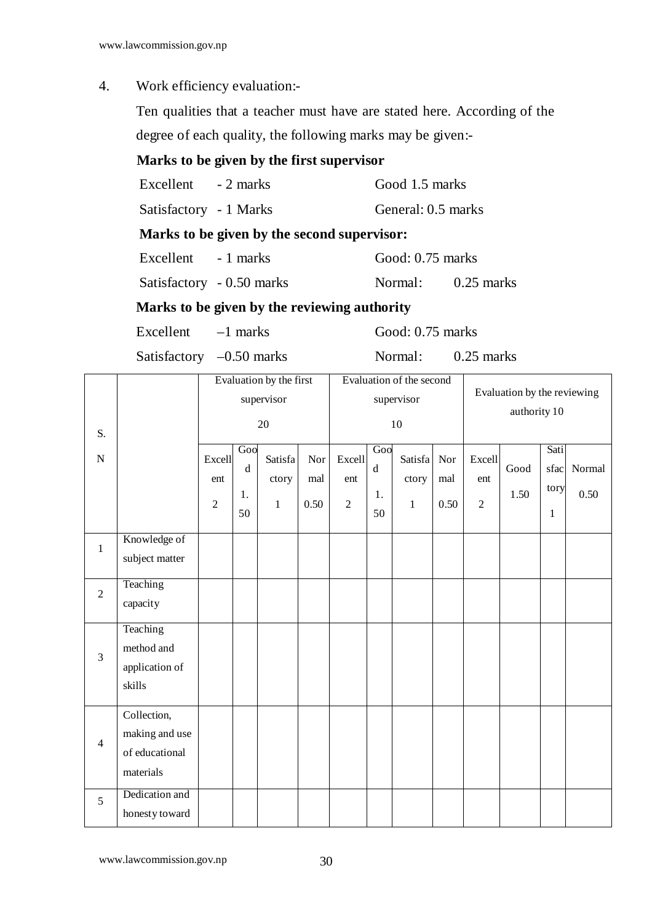4. Work efficiency evaluation:-

 Ten qualities that a teacher must have are stated here. According of the degree of each quality, the following marks may be given:-

## **Marks to be given by the first supervisor**

Satisfactory - 1 Marks General: 0.5 marks

#### **Marks to be given by the second supervisor:**

Excellent - 1 marks Good: 0.75 marks

Satisfactory - 0.50 marks Normal: 0.25 marks

#### **Marks to be given by the reviewing authority**

Excellent –1 marks Good: 0.75 marks

Satisfactory –0.50 marks Normal: 0.25 marks

|                |                                                              | Evaluation by the first |                       |                  |            | Evaluation of the second |                          |                  |              | Evaluation by the reviewing |              |                      |                |
|----------------|--------------------------------------------------------------|-------------------------|-----------------------|------------------|------------|--------------------------|--------------------------|------------------|--------------|-----------------------------|--------------|----------------------|----------------|
|                |                                                              |                         |                       | supervisor       |            | supervisor               |                          |                  | authority 10 |                             |              |                      |                |
| S.             |                                                              |                         |                       | 20               |            | 10                       |                          |                  |              |                             |              |                      |                |
| ${\bf N}$      |                                                              | Excell<br>ent           | Gool<br>$\rm d$<br>1. | Satisfa<br>ctory | Nor<br>mal | Excell<br>ent            | Goo<br>$\mathbf d$<br>1. | Satisfa<br>ctory | Nor<br>mal   | Excell<br>ent               | Good<br>1.50 | Sati<br>sfac<br>tory | Normal<br>0.50 |
|                |                                                              | $\overline{2}$          | 50                    | $\,1$            | 0.50       | $\overline{2}$           | 50                       | $\mathbf{1}$     | 0.50         | $\overline{2}$              |              | $\mathbf{1}$         |                |
| $\,1\,$        | Knowledge of<br>subject matter                               |                         |                       |                  |            |                          |                          |                  |              |                             |              |                      |                |
| $\overline{2}$ | Teaching<br>capacity                                         |                         |                       |                  |            |                          |                          |                  |              |                             |              |                      |                |
| 3              | Teaching<br>method and<br>application of<br>skills           |                         |                       |                  |            |                          |                          |                  |              |                             |              |                      |                |
| $\overline{4}$ | Collection,<br>making and use<br>of educational<br>materials |                         |                       |                  |            |                          |                          |                  |              |                             |              |                      |                |
| 5              | Dedication and<br>honesty toward                             |                         |                       |                  |            |                          |                          |                  |              |                             |              |                      |                |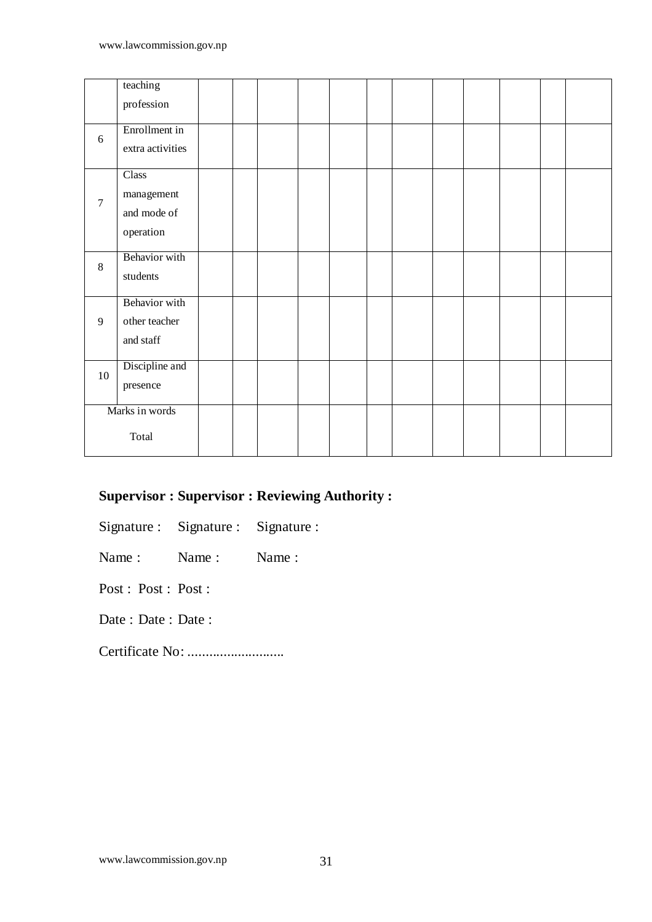|                | teaching         |  |  |  |  |  |  |
|----------------|------------------|--|--|--|--|--|--|
|                | profession       |  |  |  |  |  |  |
| 6              | Enrollment in    |  |  |  |  |  |  |
|                | extra activities |  |  |  |  |  |  |
|                | Class            |  |  |  |  |  |  |
| $\tau$         | management       |  |  |  |  |  |  |
|                | and mode of      |  |  |  |  |  |  |
|                | operation        |  |  |  |  |  |  |
| 8              | Behavior with    |  |  |  |  |  |  |
|                | students         |  |  |  |  |  |  |
|                | Behavior with    |  |  |  |  |  |  |
| 9              | other teacher    |  |  |  |  |  |  |
|                | and staff        |  |  |  |  |  |  |
| 10             | Discipline and   |  |  |  |  |  |  |
|                | presence         |  |  |  |  |  |  |
| Marks in words |                  |  |  |  |  |  |  |
|                | Total            |  |  |  |  |  |  |

## **Supervisor : Supervisor : Reviewing Authority :**

Signature : Signature : Signature :

Name : Name : Name :

Post : Post : Post :

Date : Date : Date :

Certificate No: ...........................